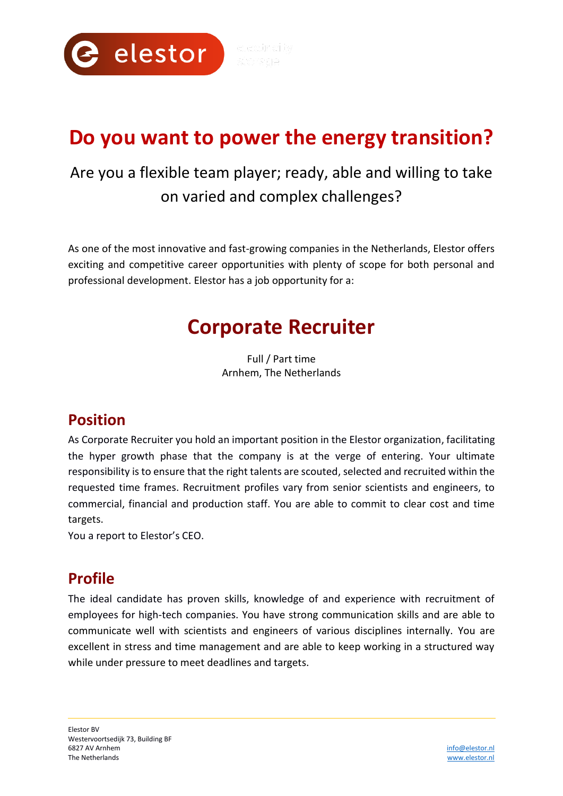

# **Do you want to power the energy transition?**

## Are you a flexible team player; ready, able and willing to take on varied and complex challenges?

As one of the most innovative and fast-growing companies in the Netherlands, Elestor offers exciting and competitive career opportunities with plenty of scope for both personal and professional development. Elestor has a job opportunity for a:

## **Corporate Recruiter**

Full / Part time Arnhem, The Netherlands

### **Position**

As Corporate Recruiter you hold an important position in the Elestor organization, facilitating the hyper growth phase that the company is at the verge of entering. Your ultimate responsibility is to ensure that the right talents are scouted, selected and recruited within the requested time frames. Recruitment profiles vary from senior scientists and engineers, to commercial, financial and production staff. You are able to commit to clear cost and time targets.

You a report to Elestor's CEO.

### **Profile**

The ideal candidate has proven skills, knowledge of and experience with recruitment of employees for high-tech companies. You have strong communication skills and are able to communicate well with scientists and engineers of various disciplines internally. You are excellent in stress and time management and are able to keep working in a structured way while under pressure to meet deadlines and targets.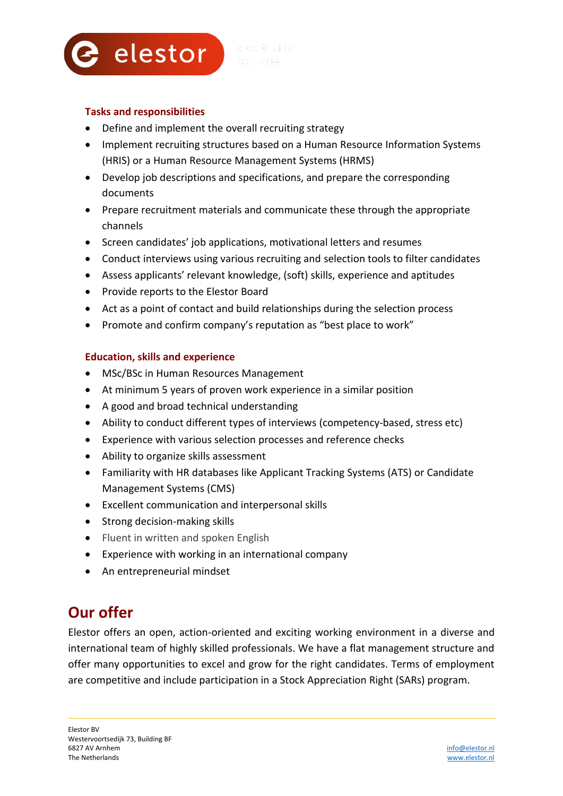

#### **Tasks and responsibilities**

- Define and implement the overall recruiting strategy
- Implement recruiting structures based on a Human Resource Information Systems (HRIS) or a Human Resource Management Systems (HRMS)
- Develop job descriptions and specifications, and prepare the corresponding documents
- Prepare recruitment materials and communicate these through the appropriate channels
- Screen candidates' job applications, motivational letters and resumes
- Conduct interviews using various recruiting and selection tools to filter candidates
- Assess applicants' relevant knowledge, (soft) skills, experience and aptitudes
- Provide reports to the Elestor Board
- Act as a point of contact and build relationships during the selection process
- Promote and confirm company's reputation as "best place to work"

#### **Education, skills and experience**

- MSc/BSc in Human Resources Management
- At minimum 5 years of proven work experience in a similar position
- A good and broad technical understanding
- Ability to conduct different types of interviews (competency-based, stress etc)
- Experience with various selection processes and reference checks
- Ability to organize skills assessment
- Familiarity with HR databases like Applicant Tracking Systems (ATS) or Candidate Management Systems (CMS)
- Excellent communication and interpersonal skills
- Strong decision-making skills
- Fluent in written and spoken English
- Experience with working in an international company
- An entrepreneurial mindset

### **Our offer**

Elestor offers an open, action-oriented and exciting working environment in a diverse and international team of highly skilled professionals. We have a flat management structure and offer many opportunities to excel and grow for the right candidates. Terms of employment are competitive and include participation in a Stock Appreciation Right (SARs) program.